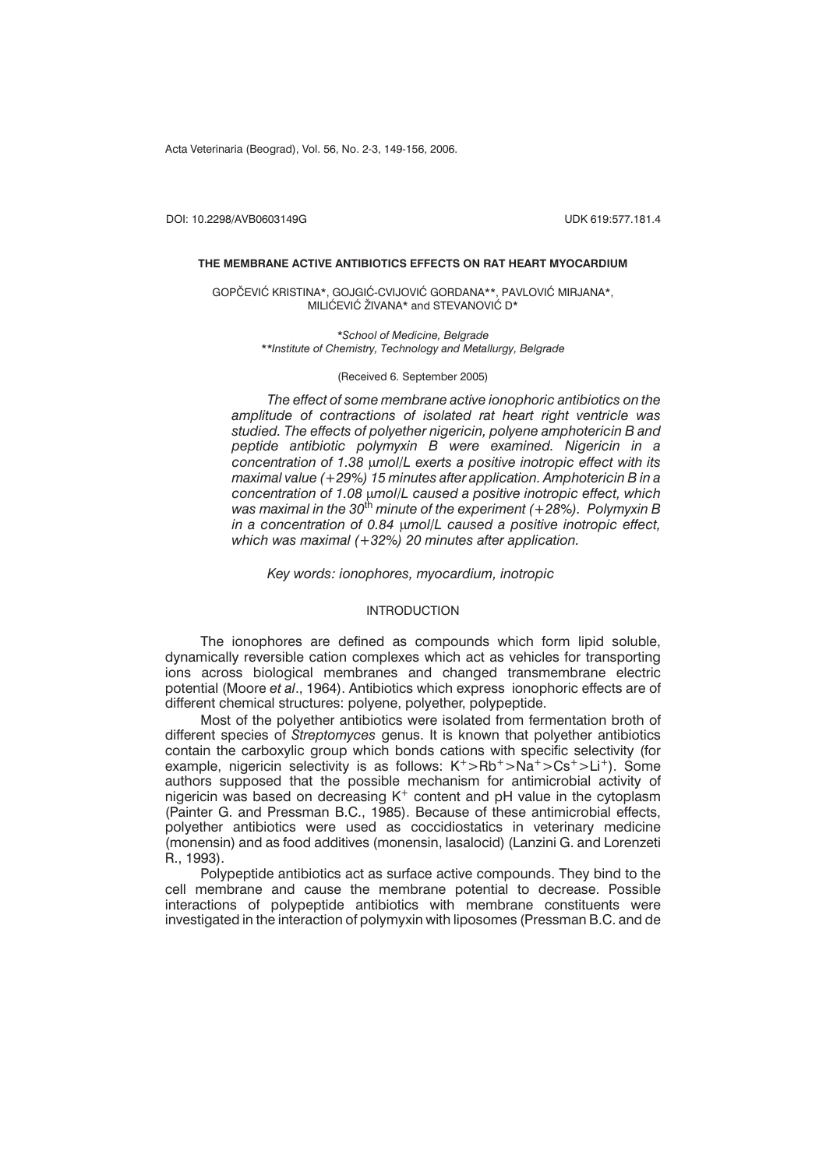Acta Veterinaria (Beograd), Vol. 56, No. 2-3, 149-156, 2006.

DOI: 10.2298/AVB0603149G UDK 619:577.181.4

### **THE MEMBRANE ACTIVE ANTIBIOTICS EFFECTS ON RAT HEART MYOCARDIUM**

GOPČEVIĆ KRISTINA\*, GOJGIĆ-CVIJOVIĆ GORDANA\*\*, PAVLOVIĆ MIRJANA\*, MILIĆEVIĆ ŽIVANA\* and STEVANOVIĆ D\*

> *\*School of Medicine, Belgrade \*\*Institute of Chemistry, Technology and Metallurgy, Belgrade*

#### (Received 6. September 2005)

*The effect of some membrane active ionophoric antibiotics on the amplitude of contractions of isolated rat heart right ventricle was studied. The effects of polyether nigericin, polyene amphotericin B and peptide antibiotic polymyxin B were examined. Nigericin in a concentration of 1.38 mol/L exerts a positive inotropic effect with its maximal value (+29%) 15 minutes after application. Amphotericin B in a concentration of 1.08 mol/L caused a positive inotropic effect, which was maximal in the 30*th *minute of the experiment (+28%). Polymyxin B in a concentration of 0.84 mol/L caused a positive inotropic effect, which was maximal (+32%) 20 minutes after application.*

*Key words: ionophores, myocardium, inotropic*

### INTRODUCTION

The ionophores are defined as compounds which form lipid soluble, dynamically reversible cation complexes which act as vehicles for transporting ions across biological membranes and changed transmembrane electric potential (Moore *et al*., 1964). Antibiotics which express ionophoric effects are of different chemical structures: polyene, polyether, polypeptide.

Most of the polyether antibiotics were isolated from fermentation broth of different species of *Streptomyces* genus. It is known that polyether antibiotics contain the carboxylic group which bonds cations with specific selectivity (for example, nigericin selectivity is as follows:  $K^+$ >Rb<sup>+</sup>>Na<sup>+</sup>>Cs<sup>+</sup>>Li<sup>+</sup>). Some authors supposed that the possible mechanism for antimicrobial activity of nigericin was based on decreasing  $K^+$  content and pH value in the cytoplasm (Painter G. and Pressman B.C., 1985). Because of these antimicrobial effects, polyether antibiotics were used as coccidiostatics in veterinary medicine (monensin) and as food additives (monensin, lasalocid) (Lanzini G. and Lorenzeti R., 1993).

Polypeptide antibiotics act as surface active compounds. They bind to the cell membrane and cause the membrane potential to decrease. Possible interactions of polypeptide antibiotics with membrane constituents were investigated in the interaction of polymyxin with liposomes (Pressman B.C. and de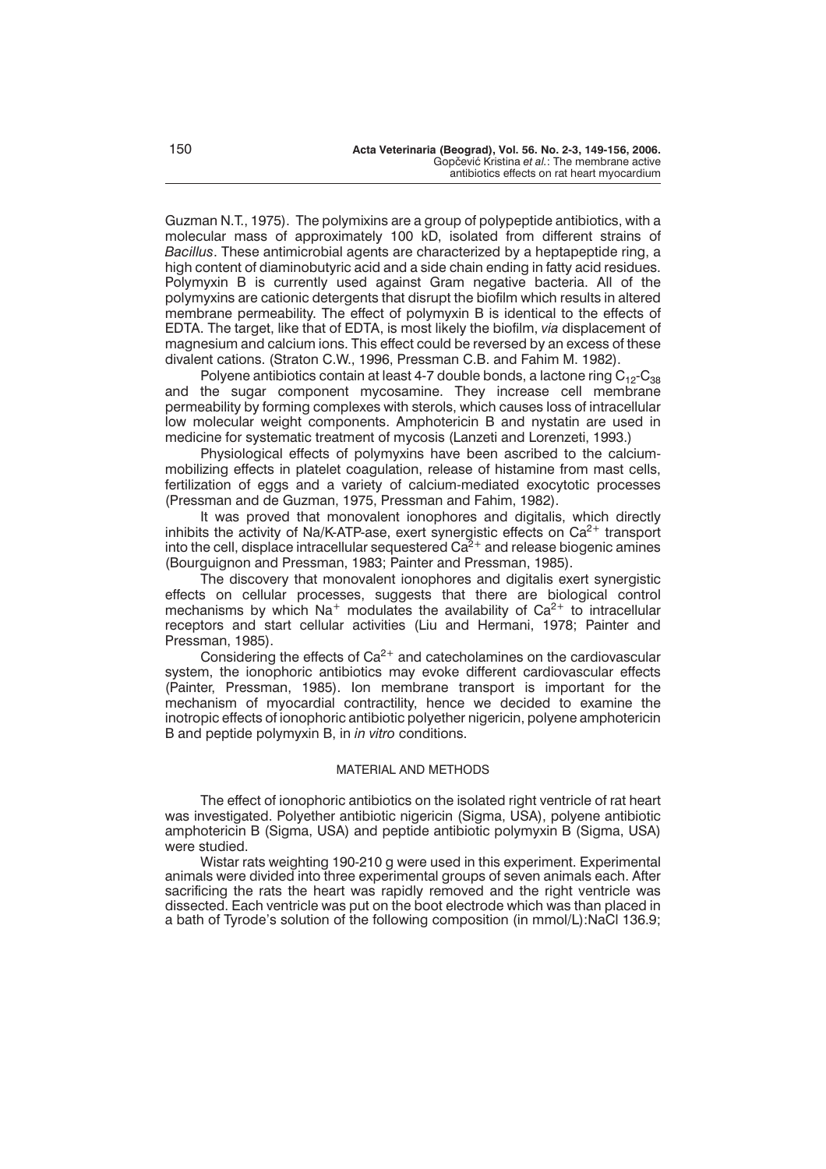Guzman N.T., 1975). The polymixins are a group of polypeptide antibiotics, with a molecular mass of approximately 100 kD, isolated from different strains of *Bacillus*. These antimicrobial agents are characterized by a heptapeptide ring, a high content of diaminobutyric acid and a side chain ending in fatty acid residues. Polymyxin B is currently used against Gram negative bacteria. All of the polymyxins are cationic detergents that disrupt the biofilm which results in altered membrane permeability. The effect of polymyxin B is identical to the effects of EDTA. The target, like that of EDTA, is most likely the biofilm, *via* displacement of magnesium and calcium ions. This effect could be reversed by an excess of these divalent cations. (Straton C.W., 1996, Pressman C.B. and Fahim M. 1982).

Polyene antibiotics contain at least 4-7 double bonds, a lactone ring  $C_{12}-C_{38}$ and the sugar component mycosamine. They increase cell membrane permeability by forming complexes with sterols, which causes loss of intracellular low molecular weight components. Amphotericin B and nystatin are used in medicine for systematic treatment of mycosis (Lanzeti and Lorenzeti, 1993.)

Physiological effects of polymyxins have been ascribed to the calciummobilizing effects in platelet coagulation, release of histamine from mast cells, fertilization of eggs and a variety of calcium-mediated exocytotic processes (Pressman and de Guzman, 1975, Pressman and Fahim, 1982).

It was proved that monovalent ionophores and digitalis, which directly inhibits the activity of Na/K-ATP-ase, exert synergistic effects on  $Ca^{2+}$  transport into the cell, displace intracellular sequestered  $Ca<sup>2+</sup>$  and release biogenic amines (Bourguignon and Pressman, 1983; Painter and Pressman, 1985).

The discovery that monovalent ionophores and digitalis exert synergistic effects on cellular processes, suggests that there are biological control mechanisms by which  $Na^+$  modulates the availability of  $Ca^{2+}$  to intracellular receptors and start cellular activities (Liu and Hermani, 1978; Painter and Pressman, 1985).

Considering the effects of  $Ca<sup>2+</sup>$  and catecholamines on the cardiovascular system, the ionophoric antibiotics may evoke different cardiovascular effects (Painter, Pressman, 1985). Ion membrane transport is important for the mechanism of myocardial contractility, hence we decided to examine the inotropic effects of ionophoric antibiotic polyether nigericin, polyene amphotericin B and peptide polymyxin B, in *in vitro* conditions.

### MATERIAL AND METHODS

The effect of ionophoric antibiotics on the isolated right ventricle of rat heart was investigated. Polyether antibiotic nigericin (Sigma, USA), polyene antibiotic amphotericin B (Sigma, USA) and peptide antibiotic polymyxin B (Sigma, USA) were studied.

Wistar rats weighting 190-210 g were used in this experiment. Experimental animals were divided into three experimental groups of seven animals each. After sacrificing the rats the heart was rapidly removed and the right ventricle was dissected. Each ventricle was put on the boot electrode which was than placed in a bath of Tyrode's solution of the following composition (in mmol/L):NaCl 136.9;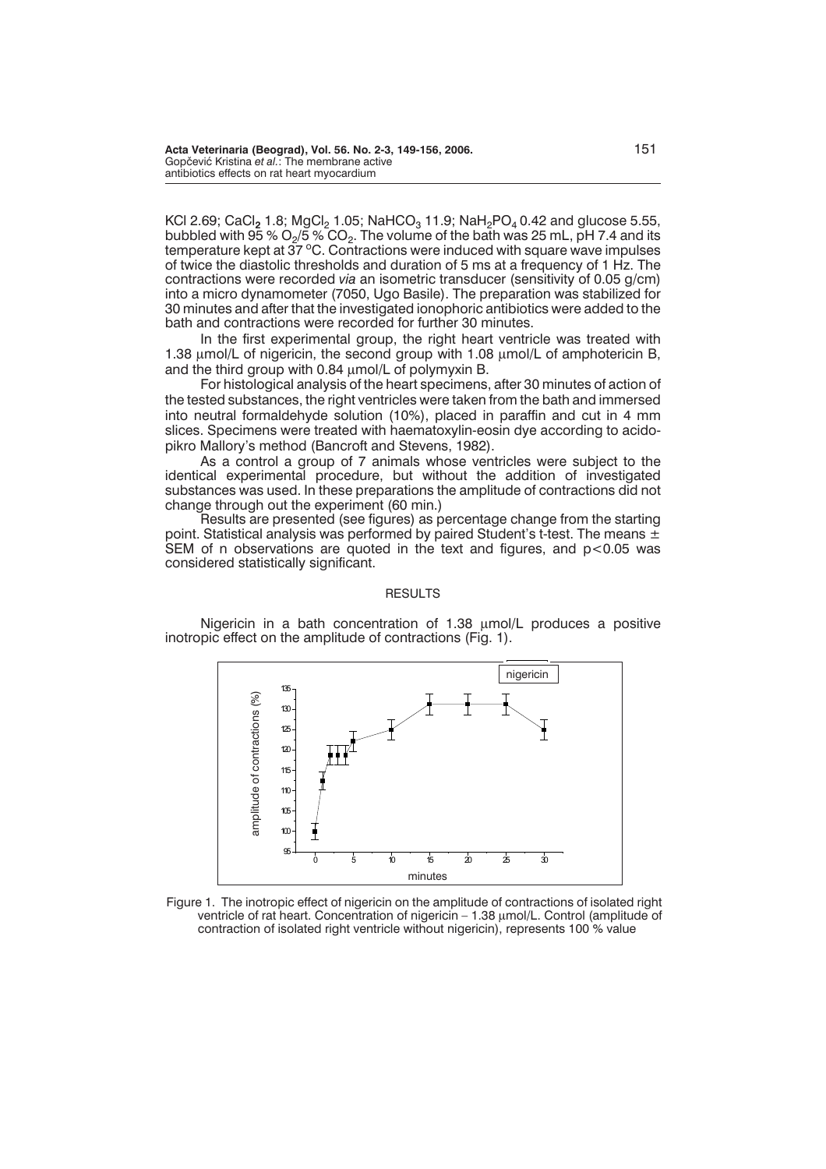KCl 2.69; CaCl<sub>2</sub> 1.8; MgCl<sub>2</sub> 1.05; NaHCO<sub>3</sub> 11.9; NaH<sub>2</sub>PO<sub>4</sub> 0.42 and glucose 5.55, bubbled with  $95\%$   $O<sub>2</sub>/5\%$  CO<sub>2</sub>. The volume of the bath was 25 mL, pH 7.4 and its temperature kept at  $37^{\circ}$ C. Contractions were induced with square wave impulses of twice the diastolic thresholds and duration of 5 ms at a frequency of 1 Hz. The contractions were recorded *via* an isometric transducer (sensitivity of 0.05 g/cm) into a micro dynamometer (7050, Ugo Basile). The preparation was stabilized for 30 minutes and after that the investigated ionophoric antibiotics were added to the bath and contractions were recorded for further 30 minutes.

In the first experimental group, the right heart ventricle was treated with 1.38  $\mu$ mol/L of nigericin, the second group with 1.08  $\mu$ mol/L of amphotericin B, and the third group with 0.84  $\mu$ mol/L of polymyxin B.

For histological analysis of the heart specimens, after 30 minutes of action of the tested substances, the right ventricles were taken from the bath and immersed into neutral formaldehyde solution (10%), placed in paraffin and cut in 4 mm slices. Specimens were treated with haematoxylin-eosin dye according to acidopikro Mallory's method (Bancroft and Stevens, 1982).

As a control a group of 7 animals whose ventricles were subject to the identical experimental procedure, but without the addition of investigated substances was used. In these preparations the amplitude of contractions did not change through out the experiment (60 min.)

Results are presented (see figures) as percentage change from the starting point. Statistical analysis was performed by paired Student's t-test. The means  $\pm$ SEM of n observations are quoted in the text and figures, and  $p < 0.05$  was considered statistically significant.

### **RESULTS**

Nigericin in a bath concentration of 1.38 umol/L produces a positive inotropic effect on the amplitude of contractions (Fig. 1).



Figure 1. The inotropic effect of nigericin on the amplitude of contractions of isolated right ventricle of rat heart. Concentration of nigericin – 1.38  $\mu$ mol/L. Control (amplitude of contraction of isolated right ventricle without nigericin), represents 100 % value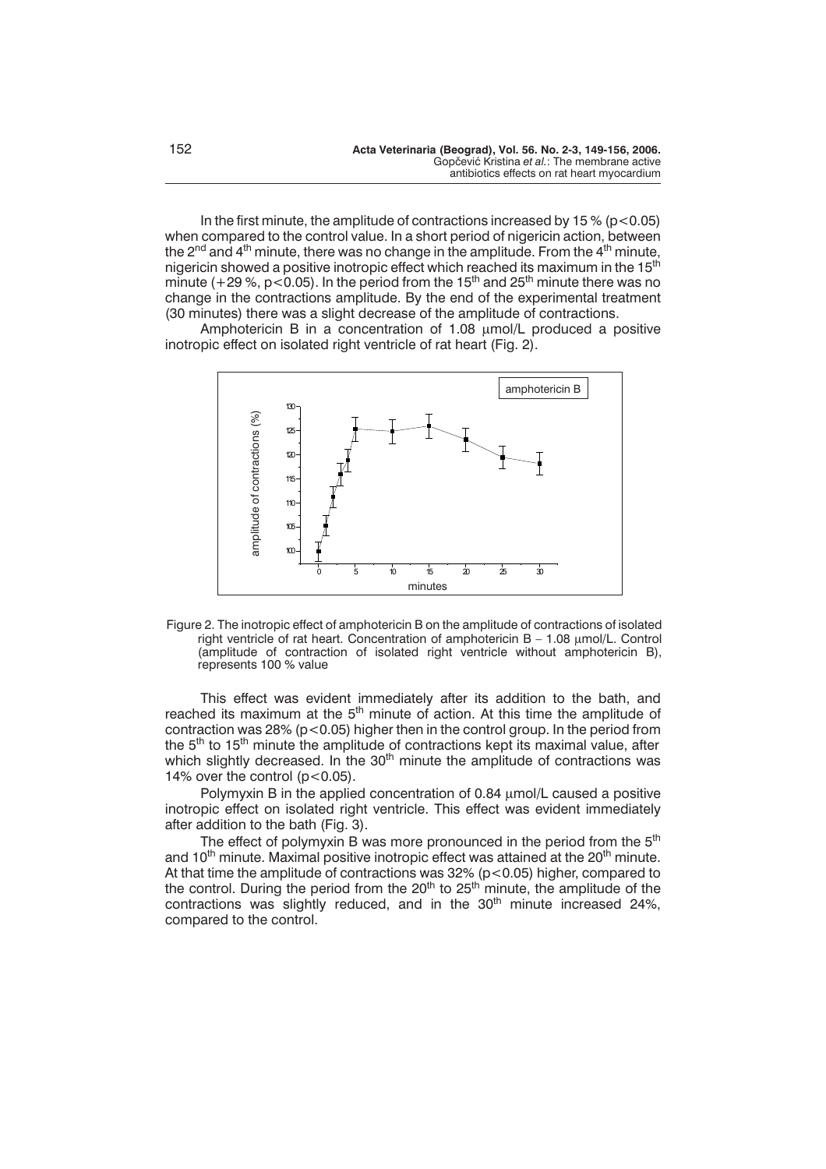In the first minute, the amplitude of contractions increased by 15 % ( $p$  < 0.05) when compared to the control value. In a short period of nigericin action, between the 2<sup>nd</sup> and 4<sup>th</sup> minute, there was no change in the amplitude. From the 4<sup>th</sup> minute, nigericin showed a positive inotropic effect which reached its maximum in the 15<sup>th</sup> minute (+29 %, p < 0.05). In the period from the 15<sup>th</sup> and 25<sup>th</sup> minute there was no change in the contractions amplitude. By the end of the experimental treatment (30 minutes) there was a slight decrease of the amplitude of contractions.

Amphotericin B in a concentration of 1.08 umol/L produced a positive inotropic effect on isolated right ventricle of rat heart (Fig. 2).



Figure 2. The inotropic effect of amphotericin B on the amplitude of contractions of isolated right ventricle of rat heart. Concentration of amphotericin  $B - 1.08 \mu m o/L$ . Control (amplitude of contraction of isolated right ventricle without amphotericin B),

This effect was evident immediately after its addition to the bath, and reached its maximum at the 5<sup>th</sup> minute of action. At this time the amplitude of contraction was  $28\%$  ( $p < 0.05$ ) higher then in the control group. In the period from the 5<sup>th</sup> to 15<sup>th</sup> minute the amplitude of contractions kept its maximal value, after which slightly decreased. In the  $30<sup>th</sup>$  minute the amplitude of contractions was 14% over the control  $(p<0.05)$ .

Polymyxin B in the applied concentration of 0.84  $\mu$ mol/L caused a positive inotropic effect on isolated right ventricle. This effect was evident immediately after addition to the bath (Fig. 3).

The effect of polymyxin B was more pronounced in the period from the  $5<sup>th</sup>$ and 10<sup>th</sup> minute. Maximal positive inotropic effect was attained at the 20<sup>th</sup> minute. At that time the amplitude of contractions was 32% (p<0.05) higher, compared to the control. During the period from the  $20<sup>th</sup>$  to  $25<sup>th</sup>$  minute, the amplitude of the contractions was slightly reduced, and in the  $30<sup>th</sup>$  minute increased 24%, compared to the control.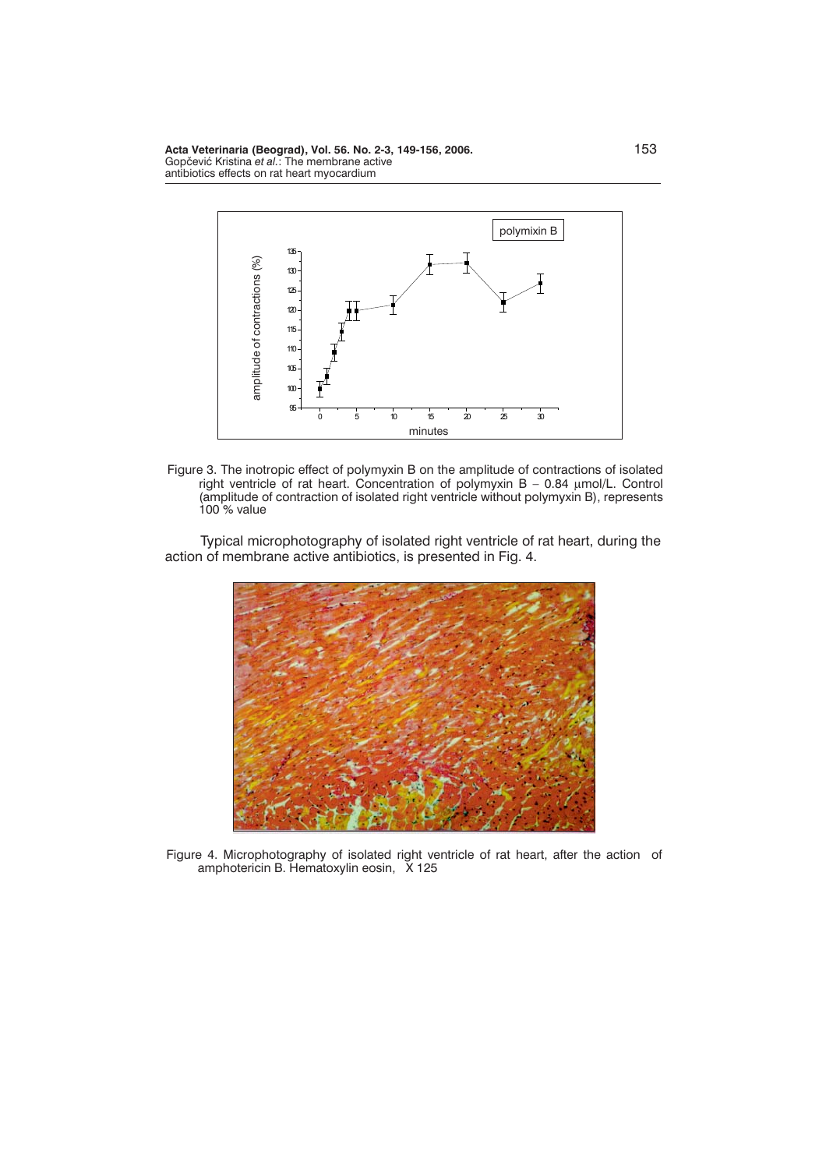**Acta Veterinaria (Beograd), Vol. 56. No. 2-3, 149-156, 2006.** 153 Gopčević Kristina et al.: The membrane active antibiotics effects on rat heart myocardium



Figure 3. The inotropic effect of polymyxin B on the amplitude of contractions of isolated right ventricle of rat heart. Concentration of polymyxin B – 0.84 µmol/L. Control (amplitude of contraction of isolated right ventricle without polymyxin B), represents 100 % value

Typical microphotography of isolated right ventricle of rat heart, during the action of membrane active antibiotics, is presented in Fig. 4.



Figure 4. Microphotography of isolated right ventricle of rat heart, after the action of amphotericin B. Hematoxylin eosin, X 125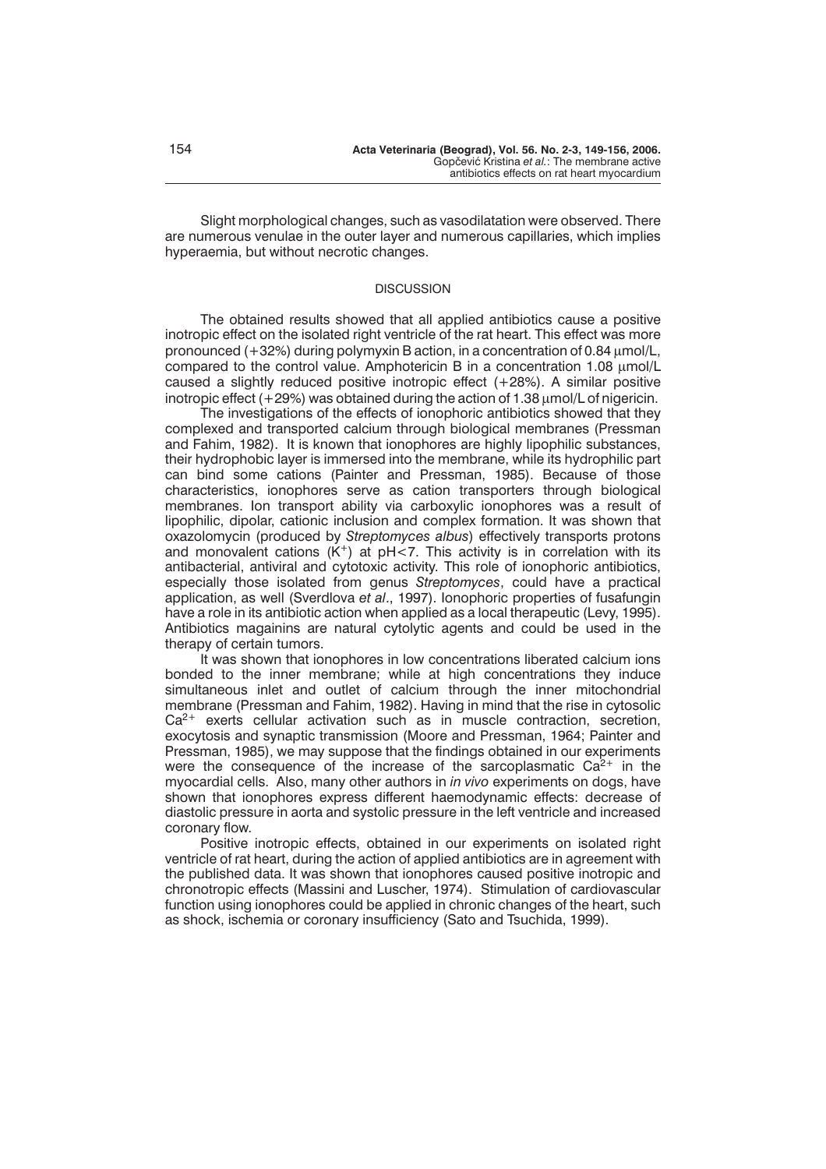Slight morphological changes, such as vasodilatation were observed. There are numerous venulae in the outer layer and numerous capillaries, which implies hyperaemia, but without necrotic changes.

## **DISCUSSION**

The obtained results showed that all applied antibiotics cause a positive inotropic effect on the isolated right ventricle of the rat heart. This effect was more pronounced  $(+32%)$  during polymyxin B action, in a concentration of 0.84  $\mu$ mol/L, compared to the control value. Amphotericin B in a concentration 1.08 umol/L caused a slightly reduced positive inotropic effect (+28%). A similar positive inotropic effect  $(+29%)$  was obtained during the action of 1.38  $\mu$ mol/L of nigericin.

The investigations of the effects of ionophoric antibiotics showed that they complexed and transported calcium through biological membranes (Pressman and Fahim, 1982). It is known that ionophores are highly lipophilic substances, their hydrophobic layer is immersed into the membrane, while its hydrophilic part can bind some cations (Painter and Pressman, 1985). Because of those characteristics, ionophores serve as cation transporters through biological membranes. Ion transport ability via carboxylic ionophores was a result of lipophilic, dipolar, cationic inclusion and complex formation. It was shown that oxazolomycin (produced by *Streptomyces albus*) effectively transports protons and monovalent cations  $(K^+)$  at pH<7. This activity is in correlation with its antibacterial, antiviral and cytotoxic activity. This role of ionophoric antibiotics, especially those isolated from genus *Streptomyces*, could have a practical application, as well (Sverdlova *et al*., 1997). Ionophoric properties of fusafungin have a role in its antibiotic action when applied as a local therapeutic (Levy, 1995). Antibiotics magainins are natural cytolytic agents and could be used in the therapy of certain tumors.

It was shown that ionophores in low concentrations liberated calcium ions bonded to the inner membrane; while at high concentrations they induce simultaneous inlet and outlet of calcium through the inner mitochondrial membrane (Pressman and Fahim, 1982). Having in mind that the rise in cytosolic  $Ca<sup>2+</sup>$  exerts cellular activation such as in muscle contraction, secretion, exocytosis and synaptic transmission (Moore and Pressman, 1964; Painter and Pressman, 1985), we may suppose that the findings obtained in our experiments were the consequence of the increase of the sarcoplasmatic  $Ca^{2+}$  in the myocardial cells. Also, many other authors in *in vivo* experiments on dogs, have shown that ionophores express different haemodynamic effects: decrease of diastolic pressure in aorta and systolic pressure in the left ventricle and increased coronary flow.

Positive inotropic effects, obtained in our experiments on isolated right ventricle of rat heart, during the action of applied antibiotics are in agreement with the published data. It was shown that ionophores caused positive inotropic and chronotropic effects (Massini and Luscher, 1974). Stimulation of cardiovascular function using ionophores could be applied in chronic changes of the heart, such as shock, ischemia or coronary insufficiency (Sato and Tsuchida, 1999).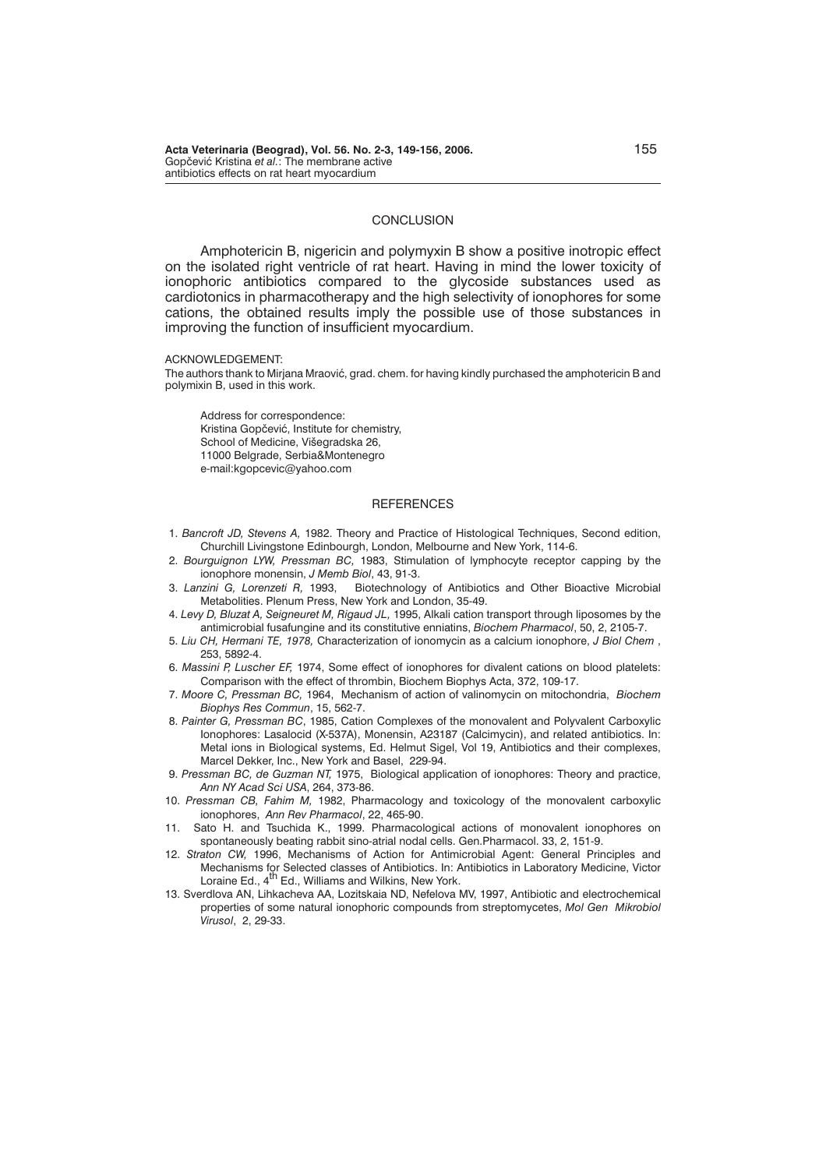### **CONCLUSION**

Amphotericin B, nigericin and polymyxin B show a positive inotropic effect on the isolated right ventricle of rat heart. Having in mind the lower toxicity of ionophoric antibiotics compared to the glycoside substances used as cardiotonics in pharmacotherapy and the high selectivity of ionophores for some cations, the obtained results imply the possible use of those substances in improving the function of insufficient myocardium.

ACKNOWLEDGEMENT:

The authors thank to Mirjana Mraović, grad. chem. for having kindly purchased the amphotericin B and polymixin B, used in this work.

Address for correspondence: Kristina Gopčević, Institute for chemistry, School of Medicine, Višegradska 26, 11000 Belgrade, Serbia&Montenegro e-mail:kgopcevic@yahoo.com

#### **REFERENCES**

- 1. *Bancroft JD, Stevens A,* 1982. Theory and Practice of Histological Techniques, Second edition, Churchill Livingstone Edinbourgh, London, Melbourne and New York, 114-6.
- 2. *Bourguignon LYW, Pressman BC,* 1983, Stimulation of lymphocyte receptor capping by the ionophore monensin, *J Memb Biol*, 43, 91-3.
- 3. *Lanzini G, Lorenzeti R,* 1993, Biotechnology of Antibiotics and Other Bioactive Microbial Metabolities. Plenum Press, New York and London, 35-49.
- 4. *Levy D, Bluzat A, Seigneuret M, Rigaud JL,* 1995, Alkali cation transport through liposomes by the antimicrobial fusafungine and its constitutive enniatins, *Biochem Pharmacol*, 50, 2, 2105-7.
- 5. *Liu CH, Hermani TE, 1978,* Characterization of ionomycin as a calcium ionophore, *J Biol Chem* , 253, 5892-4.
- 6. *Massini P, Luscher EF,* 1974, Some effect of ionophores for divalent cations on blood platelets: Comparison with the effect of thrombin, Biochem Biophys Acta, 372, 109-17.
- 7. *Moore C, Pressman BC,* 1964, Mechanism of action of valinomycin on mitochondria, *Biochem Biophys Res Commun*, 15, 562-7.
- 8. *Painter G, Pressman BC*, 1985, Cation Complexes of the monovalent and Polyvalent Carboxylic Ionophores: Lasalocid (X-537A), Monensin, A23187 (Calcimycin), and related antibiotics. In: Metal ions in Biological systems, Ed. Helmut Sigel, Vol 19, Antibiotics and their complexes, Marcel Dekker, Inc., New York and Basel, 229-94.
- 9. *Pressman BC, de Guzman NT,* 1975, Biological application of ionophores: Theory and practice, *Ann NY Acad Sci USA*, 264, 373-86.
- 10. *Pressman CB, Fahim M,* 1982, Pharmacology and toxicology of the monovalent carboxylic ionophores, *Ann Rev Pharmacol*, 22, 465-90.
- 11. Sato H. and Tsuchida K., 1999. Pharmacological actions of monovalent ionophores on spontaneously beating rabbit sino-atrial nodal cells. Gen.Pharmacol. 33, 2, 151-9.
- 12. *Straton CW,* 1996, Mechanisms of Action for Antimicrobial Agent: General Principles and Mechanisms for Selected classes of Antibiotics. In: Antibiotics in Laboratory Medicine, Victor<br>Loraine Ed., 4<sup>th</sup> Ed., Williams and Wilkins, New York.
- 13. Sverdlova AN, Lihkacheva AA, Lozitskaia ND, Nefelova MV, 1997, Antibiotic and electrochemical properties of some natural ionophoric compounds from streptomycetes, *Mol Gen Mikrobiol Virusol*, 2, 29-33.